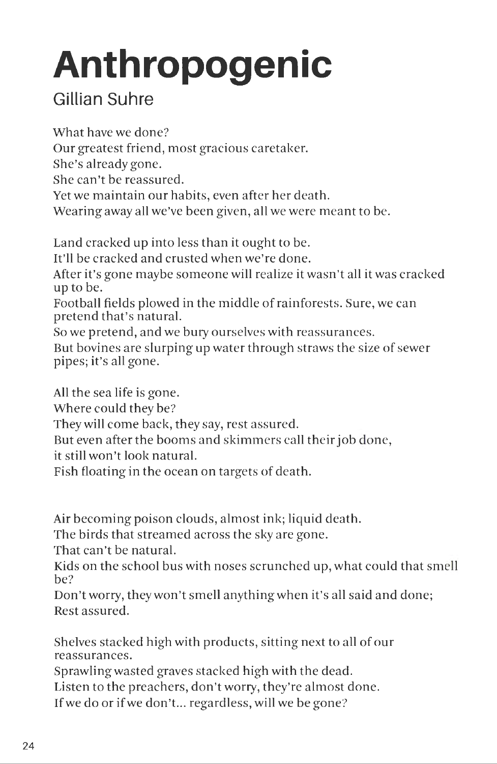## **Anthropogenic**

## **Gillian Suhre**

What have we done? Our greatest friend, most gracious caretaker. She's already gone. She can't be reassured. Yet we maintain our habits, even after her death. Wearing away all we've been given, all we were meant to be. Land cracked up into less than it ought to be. It'll be cracked and crusted when we're done. After it's gone maybe someone will realize it wasn't all it was cracked up to be. Football fields plowed in the middle of rainforests. Sure, we can

pretend that's natural. So we pretend, and we bury ourselves with reassurances. But bovines are slurping up water through straws the size of sewer pipes; it's all gone.

Fish floating in the ocean on targets of death.

But even after the booms and skimmers call their job done,

Air becoming poison clouds, almost ink; liquid death.

The birds that streamed across the sky are gone.

They will come back, they say, rest assured.

That can't be natural.

All the sea life is gone. Where could they be?

it still won't look natural.

Kids on the school bus with noses scrunched up, what could that smell be?

Don't worry, they won't smell anything when it's all said and done; Rest assured.

Shelves stacked high with products, sitting next to all of our reassurances.

Sprawling wasted graves stacked high with the dead.

Listen to the preachers, don't worry, they're almost done.

If we do or if we don't... regardless, will we be gone?